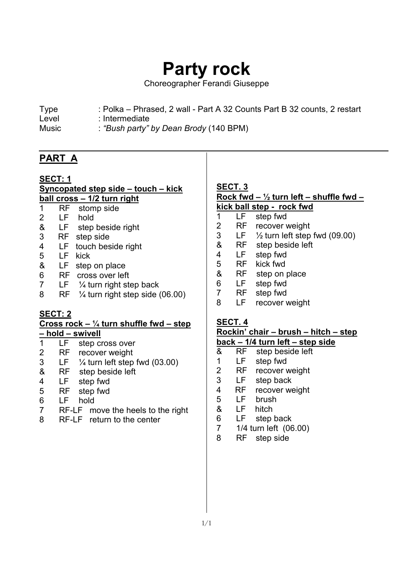# **Party rock**

Choreographer Ferandi Giuseppe

- Level : Intermediate
- Music : *"Bush party" by Dean Brody* (140 BPM)

# **PART A**

 $\overline{a}$ 

## **SECT: 1 Syncopated step side – touch – kick ball cross – 1/2 turn right**

- 1 RF stomp side<br>2 LF hold
- LF hold
- & LF step beside right
- 3 RF step side
- 4 LF touch beside right 5 LF kick
- 
- & LF step on place
- 6 RF cross over left
- 7 LF ¼ turn right step back
- 8 RF ¼ turn right step side (06.00)

# **SECT: 2**

### **Cross rock – ¼ turn shuffle fwd – step – hold – swivell**

- 1 LF step cross over
- 2 RF recover weight<br>3 LF  $\frac{1}{4}$  turn left sten
- $3$  LF  $\frac{1}{4}$  turn left step fwd (03.00)
- & RF step beside left
- 4 LF step fwd
- 5 RF step fwd
- 6 LF hold
- 7 RF-LF move the heels to the right
- 8 RF-LF return to the center

## **SECT. 3 Rock fwd – ½ turn left – shuffle fwd – kick ball step - rock fwd**

- 1 LF step fwd<br>2 RF recover v RF recover weight 3 LF ½ turn left step fwd (09.00) & RF step beside left 4 LF step fwd 5 RF kick fwd
- & RF step on place
- 6 LF step fwd
- RF step fwd
- 8 LF recover weight

## **SECT. 4**

# **Rockin' chair – brush – hitch – step**

## **back – 1/4 turn left – step side**

- & RF step beside left
- 1 LF step fwd<br>2 RF recover v
- RF recover weight
- 3 LF step back
- 4 RF recover weight<br>5 LF brush
- LF brush
- & LF hitch
- 6 LF step back
- 7 1/4 turn left (06.00)
- 8 RF step side